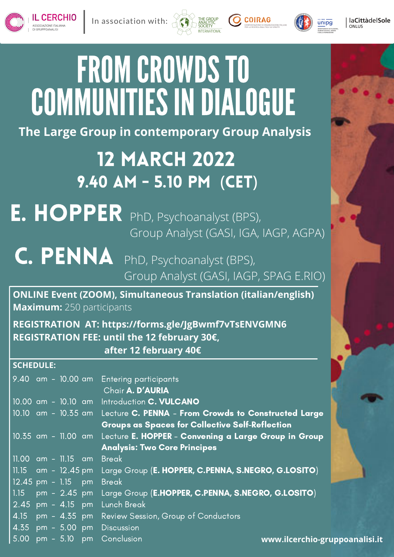



COIRAG

In association with:

## **The Large Group in contemporary Group Analysis**

## 12 March 2022 9.40 am - 5.10 Pm (CET)

## E. HOPPER PhD, Psychoanalyst (BPS), Group Analyst (GASI, IGA, IAGP, AGPA)

C. PENNA PhD, Psychoanalyst (BPS), Group Analyst (GASI, IAGP, SPAG E.RIO)

**ONLINE Event (ZOOM), Simultaneous Translation (italian/english) Maximum:** 250 participants

**REGISTRATION AT: <https://forms.gle/JgBwmf7vTsENVGMN6> REGISTRATION FEE: until the 12 february 30€, after 12 february 40€**

## **SCHEDULE:**

|                           |  | 9.40 am - 10.00 am Entering participants                                 |
|---------------------------|--|--------------------------------------------------------------------------|
|                           |  | Chair A. D'AURIA                                                         |
|                           |  | 10.00 am - 10.10 am Introduction C. VULCANO                              |
|                           |  | 10.10 am - 10.35 am Lecture C. PENNA - From Crowds to Constructed Large  |
|                           |  | <b>Groups as Spaces for Collective Self-Reflection</b>                   |
|                           |  | 10.35 am - 11.00 am Lecture E. HOPPER - Convening a Large Group in Group |
|                           |  | <b>Analysis: Two Core Principes</b>                                      |
| 11.00 am - 11.15 am Break |  |                                                                          |
|                           |  | 11.15 am - 12.45 pm Large Group (E. HOPPER, C.PENNA, S.NEGRO, G.LOSITO)  |
| 12.45 pm - 1.15 pm        |  | <b>Break</b>                                                             |
| 1.15                      |  | pm - 2.45 pm Large Group (E.HOPPER, C.PENNA, S.NEGRO, G.LOSITO)          |
|                           |  | 2.45 pm - 4.15 pm Lunch Break                                            |
|                           |  | 4.15 pm - 4.35 pm Review Session, Group of Conductors                    |
|                           |  | 4.35 pm - 5.00 pm Discussion                                             |
|                           |  | $5.00 \text{ pm} - 5.10 \text{ pm}$ Conclusion<br>www.ilcerchio-gru      |



unipg

5.10 **[www.ilcerchio-gruppoanalisi.it](http://www.ilcerchio-gruppoanalisi.it/)**